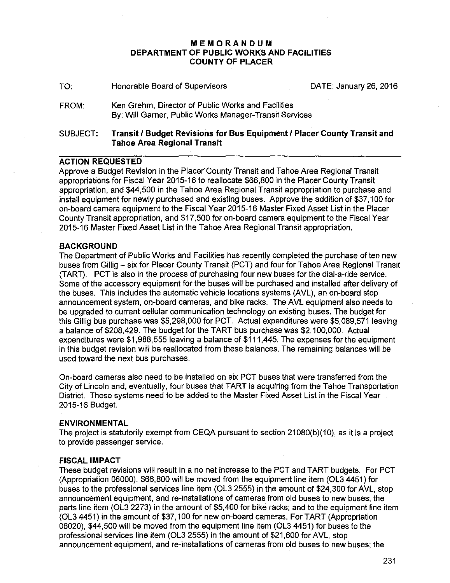# **MEMORANDUM DEPARTMENT OF PUBLIC WORKS AND FACILITIES COUNTY OF PLACER**

| SUBJECT: | Transit / Budget Revisions for Bus Equipment / Placer County Transit and<br>Tahoe Area Regional Transit      |                        |
|----------|--------------------------------------------------------------------------------------------------------------|------------------------|
| FROM:    | Ken Grehm, Director of Public Works and Facilities<br>By: Will Garner, Public Works Manager-Transit Services |                        |
| TO.      | Honorable Board of Supervisors                                                                               | DATE: January 26, 2016 |

## **ACTION REQUESTED**

Approve a Budget Revision in the Placer County Transit and Tahoe Area Regional Transit appropriations for Fiscal Year 2015-16 to reallocate \$66,800 in the Placer County Transit appropriation, and \$44,500 in the Tahoe Area Regional Transit appropriation to purchase and install equipment for newly purchased and existing buses. Approve the addition of \$37,100 for on-board camera equipment to the Fiscal Year 2015-16 Master Fixed Asset List in the Placer County Transit appropriation, and \$17,500 for on-board camera equipment to the Fiscal Year 2015-16 Master Fixed Asset List in the Tahoe Area Regional Transit appropriation.

## **BACKGROUND**

The Department of Public Works and Facilities has recently completed the purchase of ten new buses from Gillig- six for Placer County Transit (PCT) and four for Tahoe Area Regional Transit (TARD. PCT is also in the process of purchasing four new buses for the dial-a-ride service. Some of the accessory equipment for the buses will be. purchased and installed after delivery of the buses. This includes the automatic vehicle locations systems (AVL), an on-board stop announcement system, on-board cameras, and bike racks. The AVL equipment also needs to be upgraded to current cellular communication technology on existing buses. The budget for this Gillig bus purchase was \$5,298,000 for PCT. Actual expenditures were \$5,089,571 leaving a balance of \$208,429. The budget for the TART bus purchase was \$2,100,000. Actual expenditures were \$1,988,555 leaving a balance of \$111,445. The expenses for the equipment in this budget revision will be reallocated from these balances. The remaining balances will be used toward the next bus purchases.

On-board cameras also need to be installed on six PCT buses that were transferred from the City of Lincoln and, eventually, four buses that TART is acquiring from the Tahoe Transportation District. These systems need to be added to the Master Fixed Asset List in the Fiscal Year 2015-16 Budget.

### **ENVIRONMENTAL**

The project is statutorily exempt from CEQA pursuant to section 21080(b)(10), as it is a project to provide passenger service.

### **FISCAL IMPACT**

These budget revisions will result in a no net increase to the PCT and TART budgets. For PCT (Appropriation 06000), \$66,800 will be moved from the equipment line item (OL3 4451) for buses to the professional services line item (OL3 2555) in the amount of \$24,300 for AVL, stop announcement equipment, and re-installations of cameras from old buses to new buses; the parts line item (OL3 2273) in the amount of \$5,400 for bike racks; and to the equipment line item (OL3 4451) in the amount of \$37, 1 00 for new on-board cameras. For TART (Appropriation 06020), \$44,500 will be moved from the equipment line item (OL3 4451) for buses to the professional services line item (OL3 2555) in the amount of \$21,600 for AVL, stop announcement equipment, and re-installations of cameras from old buses to new buses; the

231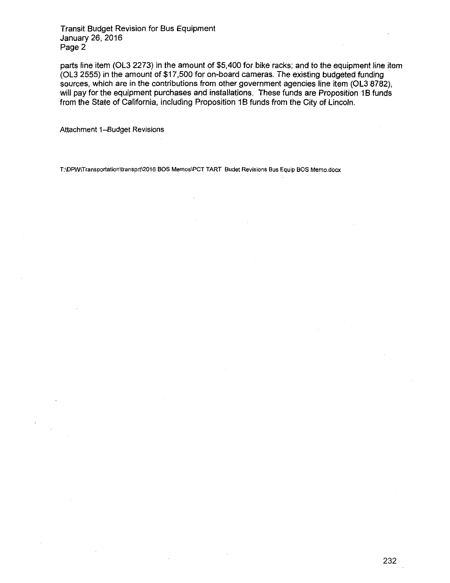Transit Budget Revision for Bus Equipment January 26, 2016 Page 2

parts line item (OL3 2273) in the amount of \$5,400 for bike racks; and to the equipment line item (OL3 2555) in the amount of \$17,500 for on-board cameras. The existing budgeted funding sources, which are in the contributions from other government agencies line item (OL3 8782), will pay for the equipment purchases and installations. These funds are Proposition 1B funds from the State of California, including Proposition 1B funds from the City of Lincoln.

Attachment 1-Budget Revisions

**T:\DPW\Transportation\transprt\2016 BOS Memos\PCT TART Budet Revisions Bus Equip BOS Memo.docx**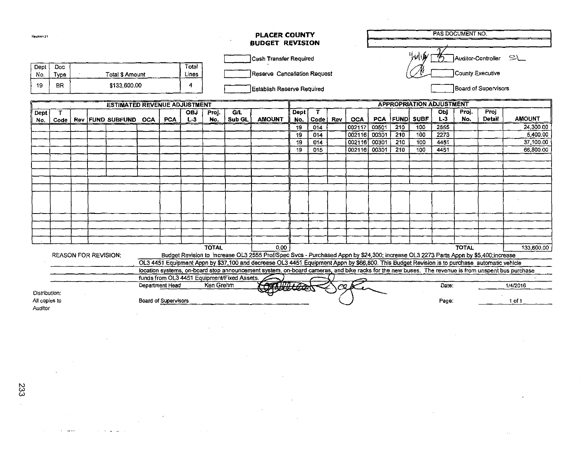| Revision 21                  |                                                                          |  |  |                               |  |                             | <b>PLACER COUNTY</b><br><b>BUDGET REVISION</b> |              |                                             |                                                                                                                                                   |              |      |     |                      | PAS DOCUMENT NO.     |                                 |                                                                 |       |     |               |               |  |  |
|------------------------------|--------------------------------------------------------------------------|--|--|-------------------------------|--|-----------------------------|------------------------------------------------|--------------|---------------------------------------------|---------------------------------------------------------------------------------------------------------------------------------------------------|--------------|------|-----|----------------------|----------------------|---------------------------------|-----------------------------------------------------------------|-------|-----|---------------|---------------|--|--|
|                              |                                                                          |  |  |                               |  |                             |                                                |              |                                             |                                                                                                                                                   |              |      |     |                      |                      |                                 |                                                                 |       |     |               |               |  |  |
|                              |                                                                          |  |  |                               |  |                             |                                                |              |                                             | Cash Transfer Required                                                                                                                            |              |      |     |                      |                      |                                 | $^{\prime\prime}$ $\omega$ $\omega$<br>SL<br>Auditor-Controller |       |     |               |               |  |  |
| Dept<br>No.                  | Doc<br>Type                                                              |  |  | <b>Total S Amount</b>         |  |                             | Total<br>Lines                                 |              |                                             | Reserve Cancellation Request                                                                                                                      |              |      |     |                      | County Executive     |                                 |                                                                 |       |     |               |               |  |  |
| 19                           | <b>BR</b>                                                                |  |  | \$133,600.00                  |  |                             | 4                                              |              |                                             | Establish Reserve Required                                                                                                                        |              |      |     | Board of Supervisors |                      |                                 |                                                                 |       |     |               |               |  |  |
|                              |                                                                          |  |  |                               |  |                             |                                                |              |                                             |                                                                                                                                                   |              |      |     |                      |                      | <b>APPROPRIATION ADJUSTMENT</b> |                                                                 |       |     |               |               |  |  |
| Dept                         | <b>ESTIMATED REVENUE ADJUSTMENT</b><br><b>G/L</b><br><b>OBJ</b><br>Proj. |  |  |                               |  |                             |                                                |              |                                             |                                                                                                                                                   | Dept         | T.   |     |                      | Proj<br>Obj<br>Proj. |                                 |                                                                 |       |     |               |               |  |  |
| No.                          |                                                                          |  |  | Code   Rev   FUND SUBFUND OCA |  | <b>PCA</b>                  | $L-3$                                          | No.          | Sub GL                                      | <b>AMOUNT</b>                                                                                                                                     | No.          | Code | Rev | <b>OCA</b>           | <b>PCA</b>           |                                 | FUND  SUBF                                                      | $L-3$ | No. | <b>Detail</b> | <b>AMOUNT</b> |  |  |
|                              |                                                                          |  |  |                               |  |                             |                                                |              |                                             |                                                                                                                                                   | 19           | 014  |     | 002117               | 00501                | $\overline{210}$                | 100                                                             | 2555  |     |               | 24,300.00     |  |  |
|                              |                                                                          |  |  |                               |  |                             |                                                |              |                                             |                                                                                                                                                   | 19           | 014  |     | 002116               | 00301                | 210                             | 100                                                             | 2273  |     |               | 5,400.00      |  |  |
|                              |                                                                          |  |  |                               |  |                             |                                                |              |                                             |                                                                                                                                                   | 19           | 014  |     | 002116               | 00301                | 210                             | 100                                                             | 4451  |     |               | 37,100.00     |  |  |
|                              |                                                                          |  |  |                               |  |                             |                                                |              |                                             |                                                                                                                                                   | 19           | 015  |     | 002116               | 00301                | 210                             | 100                                                             | 4451  |     |               | 66,800.00     |  |  |
|                              |                                                                          |  |  |                               |  |                             |                                                |              |                                             |                                                                                                                                                   |              |      |     |                      |                      |                                 |                                                                 |       |     |               |               |  |  |
|                              |                                                                          |  |  |                               |  |                             |                                                |              |                                             |                                                                                                                                                   |              |      |     |                      |                      |                                 |                                                                 |       |     |               |               |  |  |
|                              |                                                                          |  |  |                               |  |                             |                                                |              |                                             |                                                                                                                                                   |              |      |     |                      |                      |                                 |                                                                 |       |     |               |               |  |  |
|                              |                                                                          |  |  |                               |  |                             |                                                |              |                                             |                                                                                                                                                   |              |      |     |                      |                      |                                 |                                                                 |       |     |               |               |  |  |
|                              |                                                                          |  |  |                               |  |                             |                                                |              |                                             |                                                                                                                                                   |              |      |     |                      |                      |                                 |                                                                 |       |     |               |               |  |  |
|                              |                                                                          |  |  |                               |  |                             |                                                |              |                                             |                                                                                                                                                   |              |      |     |                      |                      |                                 |                                                                 |       |     |               |               |  |  |
|                              |                                                                          |  |  |                               |  |                             |                                                |              |                                             |                                                                                                                                                   |              |      |     |                      |                      |                                 |                                                                 |       |     |               |               |  |  |
|                              |                                                                          |  |  |                               |  |                             |                                                |              |                                             |                                                                                                                                                   |              |      |     |                      |                      |                                 |                                                                 |       |     |               |               |  |  |
|                              |                                                                          |  |  |                               |  |                             |                                                |              |                                             |                                                                                                                                                   |              |      |     |                      |                      |                                 |                                                                 |       |     |               |               |  |  |
|                              |                                                                          |  |  |                               |  |                             |                                                |              |                                             |                                                                                                                                                   |              |      |     |                      |                      |                                 |                                                                 |       |     |               |               |  |  |
|                              |                                                                          |  |  |                               |  |                             |                                                |              |                                             |                                                                                                                                                   |              |      |     |                      |                      |                                 |                                                                 |       |     |               |               |  |  |
|                              |                                                                          |  |  |                               |  |                             |                                                | <b>TOTAL</b> |                                             | 0.00                                                                                                                                              | <b>TOTAL</b> |      |     |                      |                      |                                 |                                                                 |       |     | 133,600.00    |               |  |  |
|                              | <b>REASON FOR REVISION:</b>                                              |  |  |                               |  |                             |                                                |              |                                             | Budget Revision to increase OL3 2555 Prof/Spec Svcs - Purchased Appn by \$24,300; increase OL3 2273 Parts Appn by \$5,400;increase                |              |      |     |                      |                      |                                 |                                                                 |       |     |               |               |  |  |
|                              |                                                                          |  |  |                               |  |                             |                                                |              |                                             | OL3 4451 Equipment Appn by \$37,100 and decrease OL3 4451 Equipment Appn by \$66,800. This Budget Revision is to purchase automatic vehicle       |              |      |     |                      |                      |                                 |                                                                 |       |     |               |               |  |  |
|                              |                                                                          |  |  |                               |  |                             |                                                |              |                                             | location systems, on-board stop announcement system, on-board cameras, and bike racks for the new buses. The revenue is from unspent bus purchase |              |      |     |                      |                      |                                 |                                                                 |       |     |               |               |  |  |
|                              |                                                                          |  |  |                               |  |                             |                                                |              | funds from OL3 4451 Equipment/Fixed Assets. |                                                                                                                                                   |              |      |     |                      |                      |                                 |                                                                 |       |     |               |               |  |  |
| Ken Grehm<br>Department Head |                                                                          |  |  |                               |  |                             |                                                |              |                                             | Converces<br>Date:                                                                                                                                |              |      |     |                      |                      |                                 | 1/4/2016                                                        |       |     |               |               |  |  |
| Distribution:                |                                                                          |  |  |                               |  |                             |                                                |              |                                             |                                                                                                                                                   |              |      |     |                      |                      |                                 |                                                                 |       |     |               |               |  |  |
| All copies to                |                                                                          |  |  |                               |  | <b>Board of Supervisors</b> |                                                |              |                                             |                                                                                                                                                   |              |      |     |                      |                      |                                 |                                                                 | Page: |     |               | $1$ of $1$    |  |  |
| Auditor                      |                                                                          |  |  |                               |  |                             |                                                |              |                                             |                                                                                                                                                   |              |      |     |                      |                      |                                 |                                                                 |       |     |               |               |  |  |

 $\sim 10$ 

 $\mathcal{L}^{\mathcal{L}}$ 

 $\sim$ 

 $\mathcal{L}$ 

 $\mathcal{L}$ 

 $\overline{a}$ 

 $\sim$   $\sim$ 

 $\mathcal{L}$ 

 $\mathbb{R}^2$ 

 $\sim$ 

**Service** Ave

 $\sim 10^{-1}$ 

**Contract Contract** 

 $\mathcal{A}$